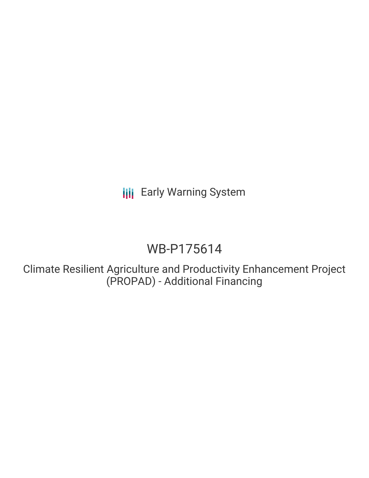**III** Early Warning System

# WB-P175614

Climate Resilient Agriculture and Productivity Enhancement Project (PROPAD) - Additional Financing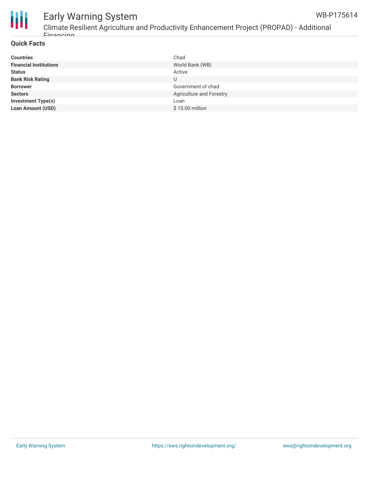

# Early Warning System

Climate Resilient Agriculture and Productivity Enhancement Project (PROPAD) - Additional Financing

#### **Quick Facts**

| <b>Countries</b>              | Chad                     |
|-------------------------------|--------------------------|
| <b>Financial Institutions</b> | World Bank (WB)          |
| <b>Status</b>                 | Active                   |
| <b>Bank Risk Rating</b>       | U                        |
| <b>Borrower</b>               | Government of chad       |
| <b>Sectors</b>                | Agriculture and Forestry |
| <b>Investment Type(s)</b>     | Loan                     |
| <b>Loan Amount (USD)</b>      | \$15.00 million          |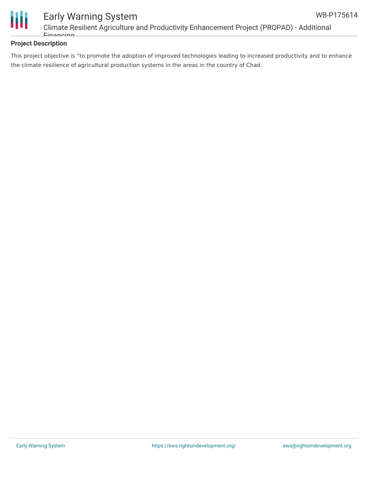



## Early Warning System Climate Resilient Agriculture and Productivity Enhancement Project (PROPAD) - Additional Financing

### **Project Description**

This project objective is "to promote the adoption of improved technologies leading to increased productivity and to enhance the climate resilience of agricultural production systems in the areas in the country of Chad.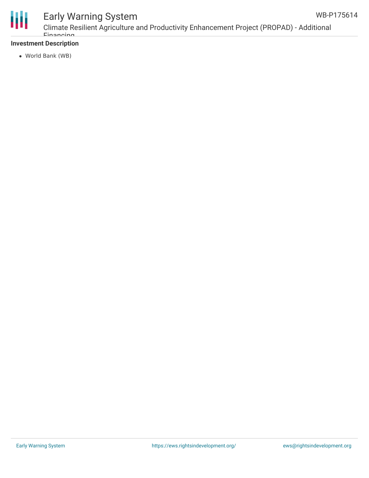



# Early Warning System

Climate Resilient Agriculture and Productivity Enhancement Project (PROPAD) - Additional Financing

### **Investment Description**

World Bank (WB)